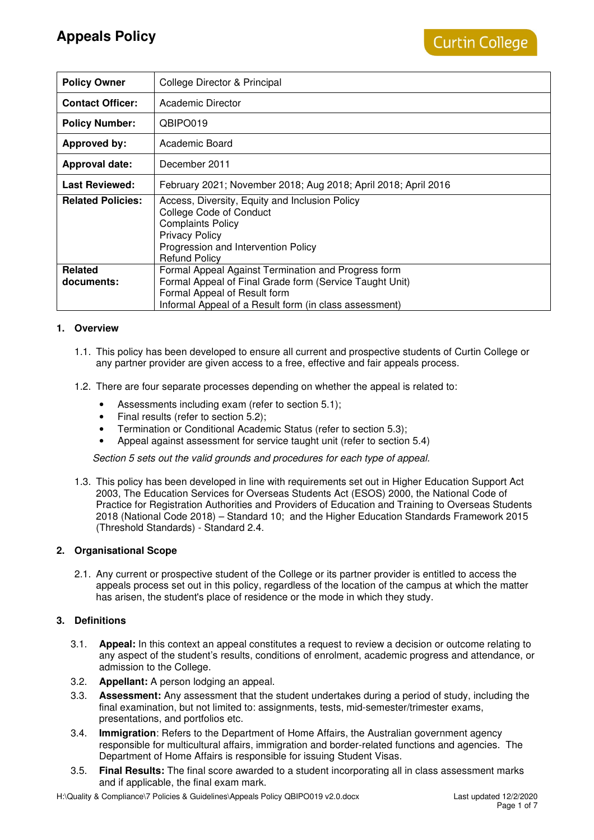| <b>Policy Owner</b>          | College Director & Principal                                                                                                                                                                             |
|------------------------------|----------------------------------------------------------------------------------------------------------------------------------------------------------------------------------------------------------|
| <b>Contact Officer:</b>      | Academic Director                                                                                                                                                                                        |
| <b>Policy Number:</b>        | QBIPO019                                                                                                                                                                                                 |
| <b>Approved by:</b>          | Academic Board                                                                                                                                                                                           |
| <b>Approval date:</b>        | December 2011                                                                                                                                                                                            |
| <b>Last Reviewed:</b>        | February 2021; November 2018; Aug 2018; April 2018; April 2016                                                                                                                                           |
| <b>Related Policies:</b>     | Access, Diversity, Equity and Inclusion Policy<br><b>College Code of Conduct</b><br><b>Complaints Policy</b><br><b>Privacy Policy</b><br>Progression and Intervention Policy<br><b>Refund Policy</b>     |
| <b>Related</b><br>documents: | Formal Appeal Against Termination and Progress form<br>Formal Appeal of Final Grade form (Service Taught Unit)<br>Formal Appeal of Result form<br>Informal Appeal of a Result form (in class assessment) |

## **1. Overview**

- 1.1. This policy has been developed to ensure all current and prospective students of Curtin College or any partner provider are given access to a free, effective and fair appeals process.
- 1.2. There are four separate processes depending on whether the appeal is related to:
	- Assessments including exam (refer to section 5.1);
	- Final results (refer to section 5.2);
	- Termination or Conditional Academic Status (refer to section 5.3);
	- Appeal against assessment for service taught unit (refer to section 5.4)

Section 5 sets out the valid grounds and procedures for each type of appeal.

1.3. This policy has been developed in line with requirements set out in Higher Education Support Act 2003, The Education Services for Overseas Students Act (ESOS) 2000, the National Code of Practice for Registration Authorities and Providers of Education and Training to Overseas Students 2018 (National Code 2018) – Standard 10; and the Higher Education Standards Framework 2015 (Threshold Standards) - Standard 2.4.

## **2. Organisational Scope**

2.1. Any current or prospective student of the College or its partner provider is entitled to access the appeals process set out in this policy, regardless of the location of the campus at which the matter has arisen, the student's place of residence or the mode in which they study.

## **3. Definitions**

- 3.1. **Appeal:** In this context an appeal constitutes a request to review a decision or outcome relating to any aspect of the student's results, conditions of enrolment, academic progress and attendance, or admission to the College.
- 3.2. **Appellant:** A person lodging an appeal.
- 3.3. **Assessment:** Any assessment that the student undertakes during a period of study, including the final examination, but not limited to: assignments, tests, mid-semester/trimester exams, presentations, and portfolios etc.
- 3.4. **Immigration**: Refers to the Department of Home Affairs, the Australian government agency responsible for multicultural affairs, immigration and border-related functions and agencies. The Department of Home Affairs is responsible for issuing Student Visas.
- 3.5. **Final Results:** The final score awarded to a student incorporating all in class assessment marks and if applicable, the final exam mark.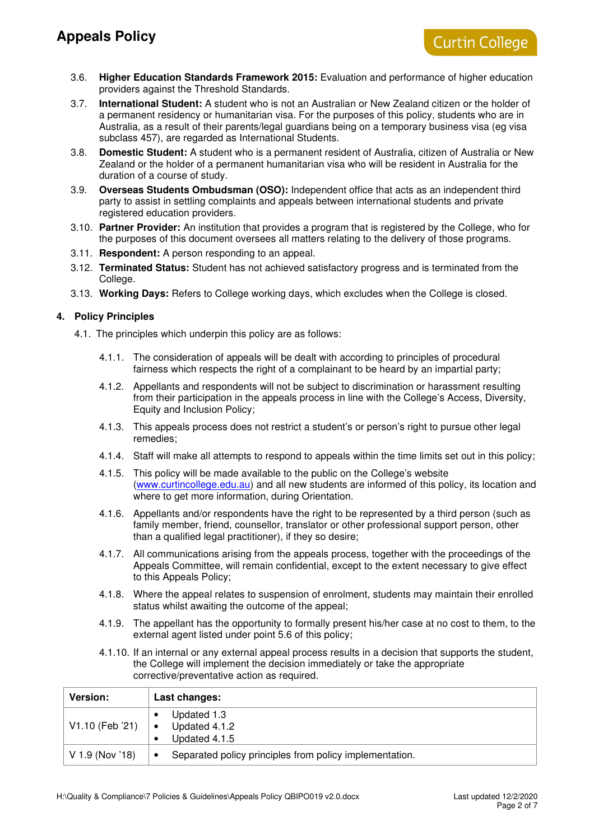- 3.6. **Higher Education Standards Framework 2015:** Evaluation and performance of higher education providers against the Threshold Standards.
- 3.7. **International Student:** A student who is not an Australian or New Zealand citizen or the holder of a permanent residency or humanitarian visa. For the purposes of this policy, students who are in Australia, as a result of their parents/legal guardians being on a temporary business visa (eg visa subclass 457), are regarded as International Students.
- 3.8. **Domestic Student:** A student who is a permanent resident of Australia, citizen of Australia or New Zealand or the holder of a permanent humanitarian visa who will be resident in Australia for the duration of a course of study.
- 3.9. **Overseas Students Ombudsman (OSO):** Independent office that acts as an independent third party to assist in settling complaints and appeals between international students and private registered education providers.
- 3.10. **Partner Provider:** An institution that provides a program that is registered by the College, who for the purposes of this document oversees all matters relating to the delivery of those programs.
- 3.11. **Respondent:** A person responding to an appeal.
- 3.12. **Terminated Status:** Student has not achieved satisfactory progress and is terminated from the College.
- 3.13. **Working Days:** Refers to College working days, which excludes when the College is closed.

## **4. Policy Principles**

- 4.1. The principles which underpin this policy are as follows:
	- 4.1.1. The consideration of appeals will be dealt with according to principles of procedural fairness which respects the right of a complainant to be heard by an impartial party;
	- 4.1.2. Appellants and respondents will not be subject to discrimination or harassment resulting from their participation in the appeals process in line with the College's Access, Diversity, Equity and Inclusion Policy;
	- 4.1.3. This appeals process does not restrict a student's or person's right to pursue other legal remedies;
	- 4.1.4. Staff will make all attempts to respond to appeals within the time limits set out in this policy;
	- 4.1.5. This policy will be made available to the public on the College's website (www.curtincollege.edu.au) and all new students are informed of this policy, its location and where to get more information, during Orientation.
	- 4.1.6. Appellants and/or respondents have the right to be represented by a third person (such as family member, friend, counsellor, translator or other professional support person, other than a qualified legal practitioner), if they so desire;
	- 4.1.7. All communications arising from the appeals process, together with the proceedings of the Appeals Committee, will remain confidential, except to the extent necessary to give effect to this Appeals Policy;
	- 4.1.8. Where the appeal relates to suspension of enrolment, students may maintain their enrolled status whilst awaiting the outcome of the appeal;
	- 4.1.9. The appellant has the opportunity to formally present his/her case at no cost to them, to the external agent listed under point 5.6 of this policy;
	- 4.1.10. If an internal or any external appeal process results in a decision that supports the student, the College will implement the decision immediately or take the appropriate corrective/preventative action as required.

| <b>Version:</b> | Last changes:                                                        |
|-----------------|----------------------------------------------------------------------|
| V1.10 (Feb '21) | Updated 1.3<br>Updated 4.1.2                                         |
|                 | Updated 4.1.5                                                        |
| V 1.9 (Nov '18) | Separated policy principles from policy implementation.<br>$\bullet$ |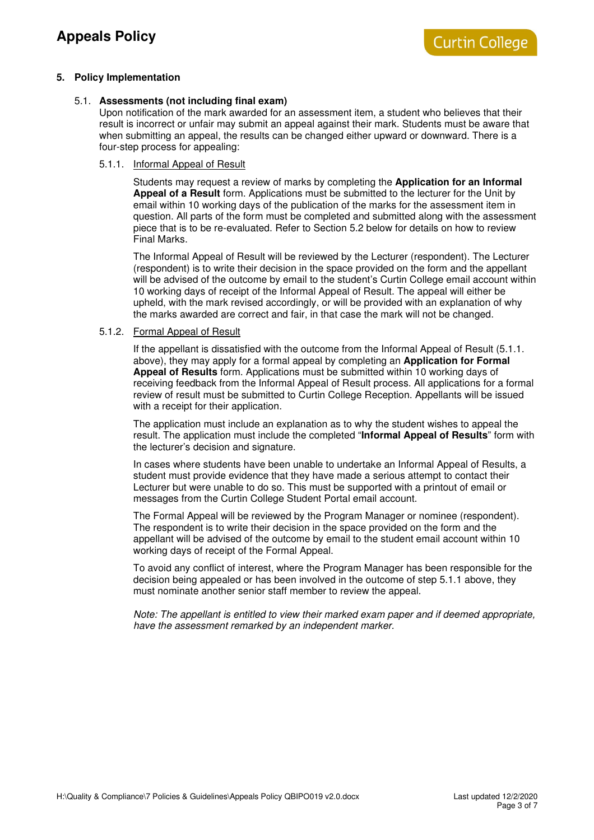### **5. Policy Implementation**

## 5.1. **Assessments (not including final exam)**

Upon notification of the mark awarded for an assessment item, a student who believes that their result is incorrect or unfair may submit an appeal against their mark. Students must be aware that when submitting an appeal, the results can be changed either upward or downward. There is a four-step process for appealing:

#### 5.1.1. Informal Appeal of Result

Students may request a review of marks by completing the **Application for an Informal Appeal of a Result** form. Applications must be submitted to the lecturer for the Unit by email within 10 working days of the publication of the marks for the assessment item in question. All parts of the form must be completed and submitted along with the assessment piece that is to be re-evaluated. Refer to Section 5.2 below for details on how to review Final Marks.

The Informal Appeal of Result will be reviewed by the Lecturer (respondent). The Lecturer (respondent) is to write their decision in the space provided on the form and the appellant will be advised of the outcome by email to the student's Curtin College email account within 10 working days of receipt of the Informal Appeal of Result. The appeal will either be upheld, with the mark revised accordingly, or will be provided with an explanation of why the marks awarded are correct and fair, in that case the mark will not be changed.

#### 5.1.2. Formal Appeal of Result

If the appellant is dissatisfied with the outcome from the Informal Appeal of Result (5.1.1. above), they may apply for a formal appeal by completing an **Application for Formal Appeal of Results** form. Applications must be submitted within 10 working days of receiving feedback from the Informal Appeal of Result process. All applications for a formal review of result must be submitted to Curtin College Reception. Appellants will be issued with a receipt for their application.

The application must include an explanation as to why the student wishes to appeal the result. The application must include the completed "**Informal Appeal of Results**" form with the lecturer's decision and signature.

In cases where students have been unable to undertake an Informal Appeal of Results, a student must provide evidence that they have made a serious attempt to contact their Lecturer but were unable to do so. This must be supported with a printout of email or messages from the Curtin College Student Portal email account.

The Formal Appeal will be reviewed by the Program Manager or nominee (respondent). The respondent is to write their decision in the space provided on the form and the appellant will be advised of the outcome by email to the student email account within 10 working days of receipt of the Formal Appeal.

To avoid any conflict of interest, where the Program Manager has been responsible for the decision being appealed or has been involved in the outcome of step 5.1.1 above, they must nominate another senior staff member to review the appeal.

Note: The appellant is entitled to view their marked exam paper and if deemed appropriate, have the assessment remarked by an independent marker.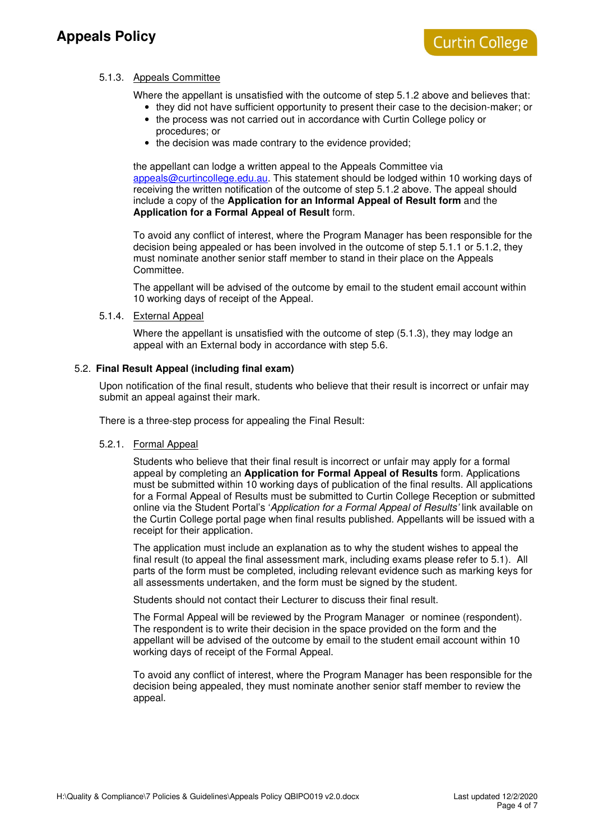## **Appeals Policy**

## 5.1.3. Appeals Committee

Where the appellant is unsatisfied with the outcome of step 5.1.2 above and believes that:

- they did not have sufficient opportunity to present their case to the decision-maker; or
- the process was not carried out in accordance with Curtin College policy or procedures; or
- the decision was made contrary to the evidence provided;

the appellant can lodge a written appeal to the Appeals Committee via appeals@curtincollege.edu.au. This statement should be lodged within 10 working days of receiving the written notification of the outcome of step 5.1.2 above. The appeal should include a copy of the **Application for an Informal Appeal of Result form** and the **Application for a Formal Appeal of Result** form.

To avoid any conflict of interest, where the Program Manager has been responsible for the decision being appealed or has been involved in the outcome of step 5.1.1 or 5.1.2, they must nominate another senior staff member to stand in their place on the Appeals Committee.

The appellant will be advised of the outcome by email to the student email account within 10 working days of receipt of the Appeal.

#### 5.1.4. External Appeal

Where the appellant is unsatisfied with the outcome of step (5.1.3), they may lodge an appeal with an External body in accordance with step 5.6.

## 5.2. **Final Result Appeal (including final exam)**

Upon notification of the final result, students who believe that their result is incorrect or unfair may submit an appeal against their mark.

There is a three-step process for appealing the Final Result:

#### 5.2.1. Formal Appeal

Students who believe that their final result is incorrect or unfair may apply for a formal appeal by completing an **Application for Formal Appeal of Results** form. Applications must be submitted within 10 working days of publication of the final results. All applications for a Formal Appeal of Results must be submitted to Curtin College Reception or submitted online via the Student Portal's 'Application for a Formal Appeal of Results' link available on the Curtin College portal page when final results published. Appellants will be issued with a receipt for their application.

The application must include an explanation as to why the student wishes to appeal the final result (to appeal the final assessment mark, including exams please refer to 5.1). All parts of the form must be completed, including relevant evidence such as marking keys for all assessments undertaken, and the form must be signed by the student.

Students should not contact their Lecturer to discuss their final result.

The Formal Appeal will be reviewed by the Program Manager or nominee (respondent). The respondent is to write their decision in the space provided on the form and the appellant will be advised of the outcome by email to the student email account within 10 working days of receipt of the Formal Appeal.

To avoid any conflict of interest, where the Program Manager has been responsible for the decision being appealed, they must nominate another senior staff member to review the appeal.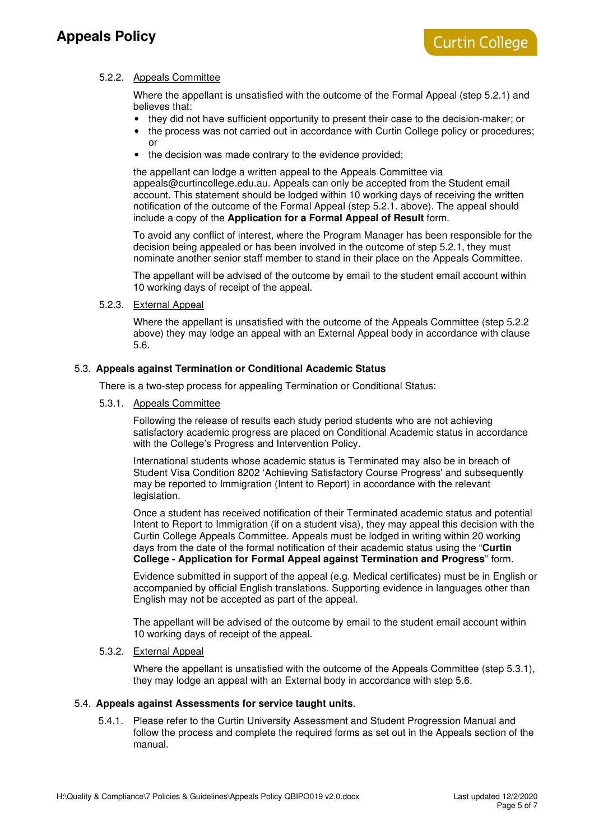## **Appeals Policy**

## 5.2.2. Appeals Committee

Where the appellant is unsatisfied with the outcome of the Formal Appeal (step 5.2.1) and believes that:

- they did not have sufficient opportunity to present their case to the decision-maker; or
- the process was not carried out in accordance with Curtin College policy or procedures; or
- the decision was made contrary to the evidence provided:

the appellant can lodge a written appeal to the Appeals Committee via appeals@curtincollege.edu.au. Appeals can only be accepted from the Student email account. This statement should be lodged within 10 working days of receiving the written notification of the outcome of the Formal Appeal (step 5.2.1. above). The appeal should include a copy of the **Application for a Formal Appeal of Result** form.

To avoid any conflict of interest, where the Program Manager has been responsible for the decision being appealed or has been involved in the outcome of step 5.2.1, they must nominate another senior staff member to stand in their place on the Appeals Committee.

The appellant will be advised of the outcome by email to the student email account within 10 working days of receipt of the appeal.

### 5.2.3. External Appeal

Where the appellant is unsatisfied with the outcome of the Appeals Committee (step 5.2.2 above) they may lodge an appeal with an External Appeal body in accordance with clause 5.6.

### 5.3. **Appeals against Termination or Conditional Academic Status**

There is a two-step process for appealing Termination or Conditional Status:

5.3.1. Appeals Committee

Following the release of results each study period students who are not achieving satisfactory academic progress are placed on Conditional Academic status in accordance with the College's Progress and Intervention Policy.

International students whose academic status is Terminated may also be in breach of Student Visa Condition 8202 'Achieving Satisfactory Course Progress' and subsequently may be reported to Immigration (Intent to Report) in accordance with the relevant legislation.

Once a student has received notification of their Terminated academic status and potential Intent to Report to Immigration (if on a student visa), they may appeal this decision with the Curtin College Appeals Committee. Appeals must be lodged in writing within 20 working days from the date of the formal notification of their academic status using the "**Curtin College - Application for Formal Appeal against Termination and Progress**" form.

Evidence submitted in support of the appeal (e.g. Medical certificates) must be in English or accompanied by official English translations. Supporting evidence in languages other than English may not be accepted as part of the appeal.

The appellant will be advised of the outcome by email to the student email account within 10 working days of receipt of the appeal.

## 5.3.2. External Appeal

Where the appellant is unsatisfied with the outcome of the Appeals Committee (step 5.3.1), they may lodge an appeal with an External body in accordance with step 5.6.

## 5.4. **Appeals against Assessments for service taught units**.

5.4.1. Please refer to the Curtin University Assessment and Student Progression Manual and follow the process and complete the required forms as set out in the Appeals section of the manual.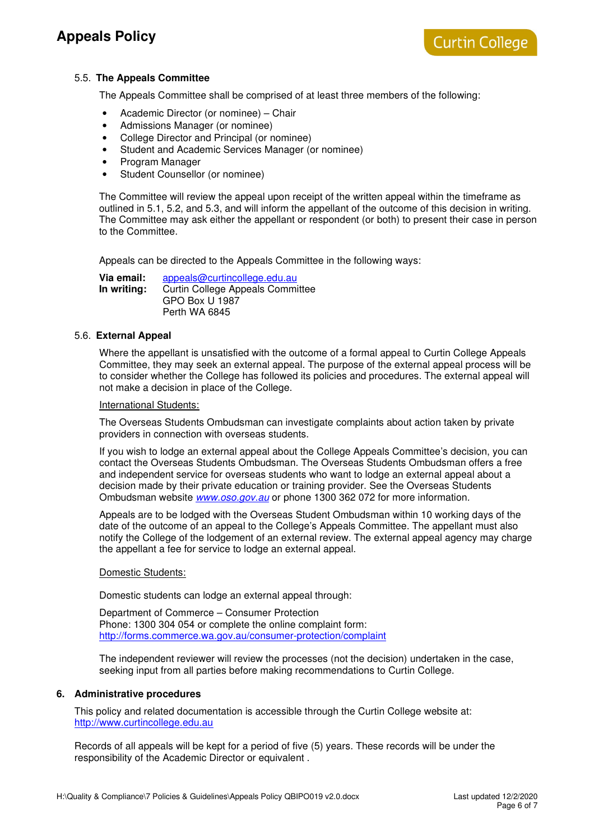## 5.5. **The Appeals Committee**

The Appeals Committee shall be comprised of at least three members of the following:

- Academic Director (or nominee) Chair
- Admissions Manager (or nominee)
- College Director and Principal (or nominee)
- Student and Academic Services Manager (or nominee)
- Program Manager
- Student Counsellor (or nominee)

The Committee will review the appeal upon receipt of the written appeal within the timeframe as outlined in 5.1, 5.2, and 5.3, and will inform the appellant of the outcome of this decision in writing. The Committee may ask either the appellant or respondent (or both) to present their case in person to the Committee.

Appeals can be directed to the Appeals Committee in the following ways:

**Via email:** appeals@curtincollege.edu.au **In writing:** Curtin College Appeals Committee GPO Box U 1987 Perth WA 6845

#### 5.6. **External Appeal**

Where the appellant is unsatisfied with the outcome of a formal appeal to Curtin College Appeals Committee, they may seek an external appeal. The purpose of the external appeal process will be to consider whether the College has followed its policies and procedures. The external appeal will not make a decision in place of the College.

#### International Students:

The Overseas Students Ombudsman can investigate complaints about action taken by private providers in connection with overseas students.

If you wish to lodge an external appeal about the College Appeals Committee's decision, you can contact the Overseas Students Ombudsman. The Overseas Students Ombudsman offers a free and independent service for overseas students who want to lodge an external appeal about a decision made by their private education or training provider. See the Overseas Students Ombudsman website www.oso.gov.au or phone 1300 362 072 for more information.

Appeals are to be lodged with the Overseas Student Ombudsman within 10 working days of the date of the outcome of an appeal to the College's Appeals Committee. The appellant must also notify the College of the lodgement of an external review. The external appeal agency may charge the appellant a fee for service to lodge an external appeal.

#### Domestic Students:

Domestic students can lodge an external appeal through:

Department of Commerce – Consumer Protection Phone: 1300 304 054 or complete the online complaint form: http://forms.commerce.wa.gov.au/consumer-protection/complaint

The independent reviewer will review the processes (not the decision) undertaken in the case, seeking input from all parties before making recommendations to Curtin College.

#### **6. Administrative procedures**

This policy and related documentation is accessible through the Curtin College website at: http://www.curtincollege.edu.au

Records of all appeals will be kept for a period of five (5) years. These records will be under the responsibility of the Academic Director or equivalent .